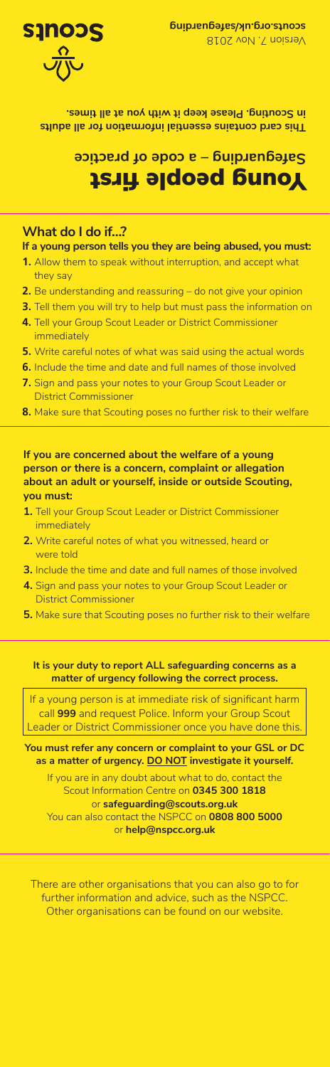**This card contains essential information for all adults in Scouting. Please keep it with you at all times.**

## Young people first **Safeguarding – a code of practice**

## **What do I do if…?**

**If a young person tells you they are being abused, you must:**

- **1.** Allow them to speak without interruption, and accept what they say
- **2.** Be understanding and reassuring do not give your opinion
- **3.** Tell them you will try to help but must pass the information on
- **4.** Tell your Group Scout Leader or District Commissioner immediately
- **5.** Write careful notes of what was said using the actual words
- **6.** Include the time and date and full names of those involved
- **7.** Sign and pass your notes to your Group Scout Leader or District Commissioner
- **8.** Make sure that Scouting poses no further risk to their welfare

## **If you are concerned about the welfare of a young person or there is a concern, complaint or allegation about an adult or yourself, inside or outside Scouting, you must:**

- **1.** Tell your Group Scout Leader or District Commissioner immediately
- **2.** Write careful notes of what you witnessed, heard or were told
- **3.** Include the time and date and full names of those involved
- **4.** Sign and pass your notes to your Group Scout Leader or District Commissioner
- **5.** Make sure that Scouting poses no further risk to their welfare

**It is your duty to report ALL safeguarding concerns as a matter of urgency following the correct process.**

If a young person is at immediate risk of significant harm call **999** and request Police. Inform your Group Scout Leader or District Commissioner once you have done this

**You must refer any concern or complaint to your GSL or DC as a matter of urgency. DO NOT investigate it yourself.**

If you are in any doubt about what to do, contact the Scout Information Centre on **0345 300 1818** or **safeguarding@scouts.org.uk** You can also contact the NSPCC on **0808 800 5000**  or **help@nspcc.org.uk**

There are other organisations that you can also go to for further information and advice, such as the NSPCC. Other organisations can be found on our website.